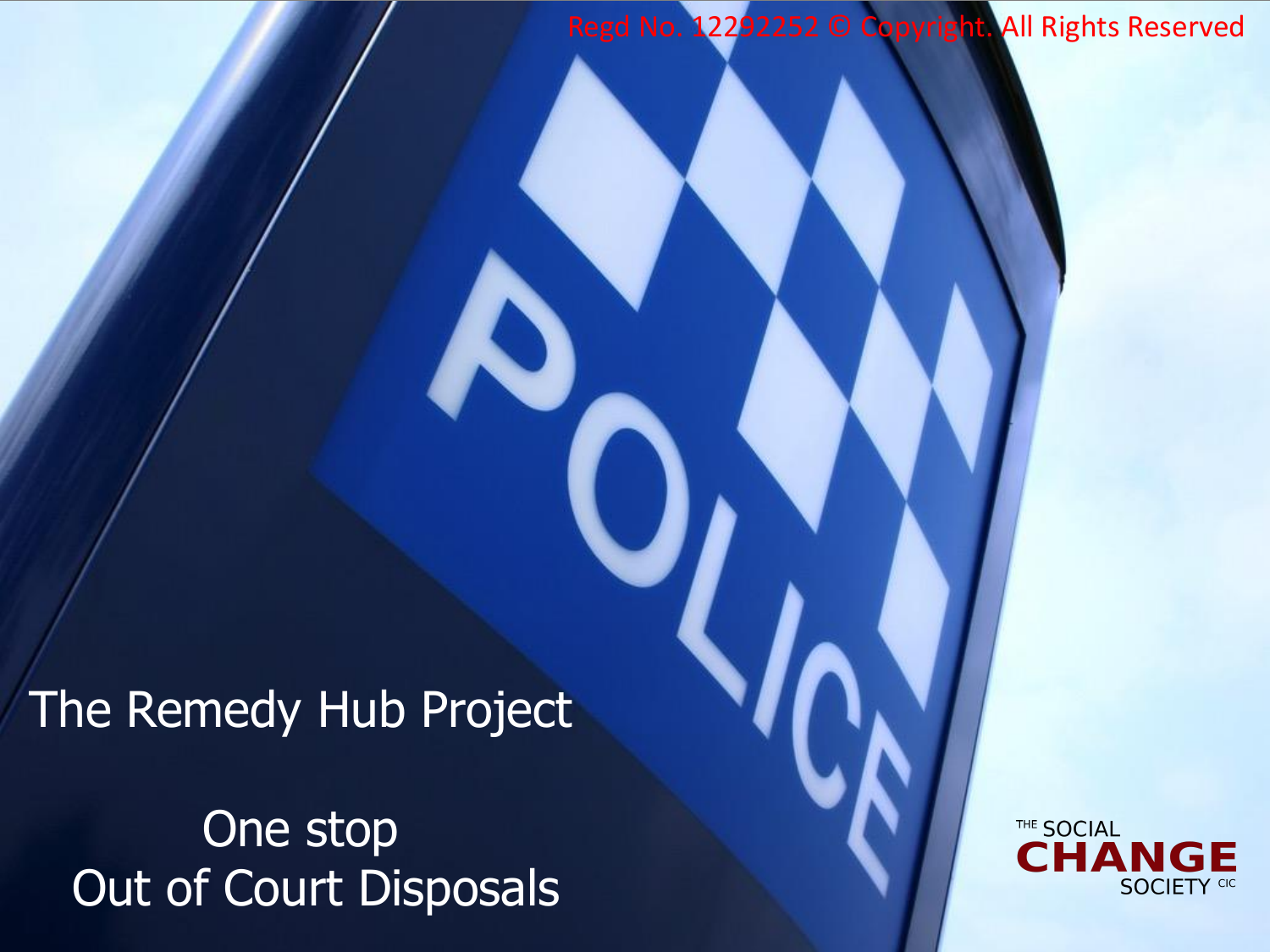Regd No. 12292252 © Copyright. All Rights Reserved

The Remedy Hub Project

One stop Out of Court Disposals

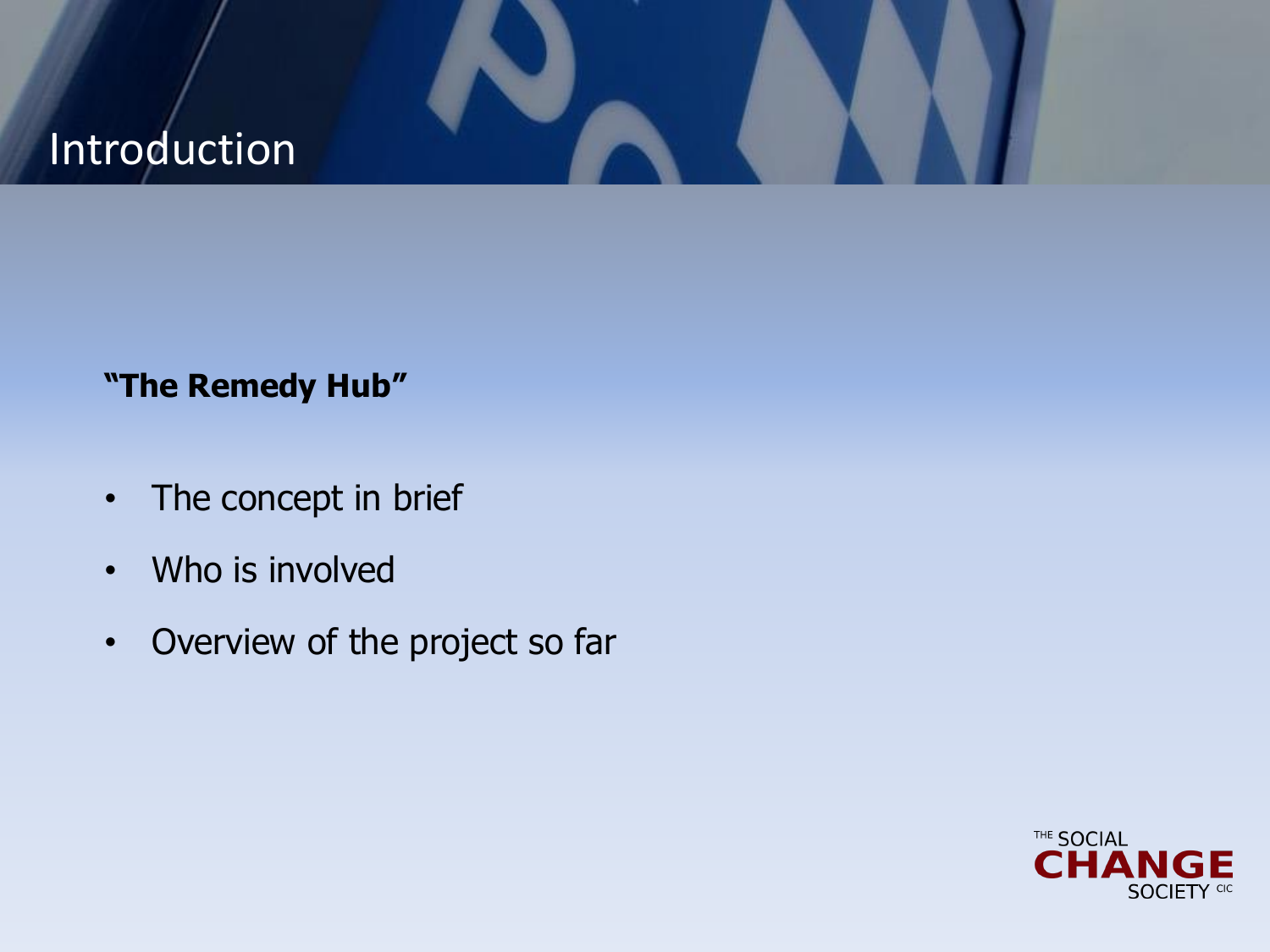## Introduction

## **"The Remedy Hub"**

- The concept in brief
- Who is involved
- Overview of the project so far

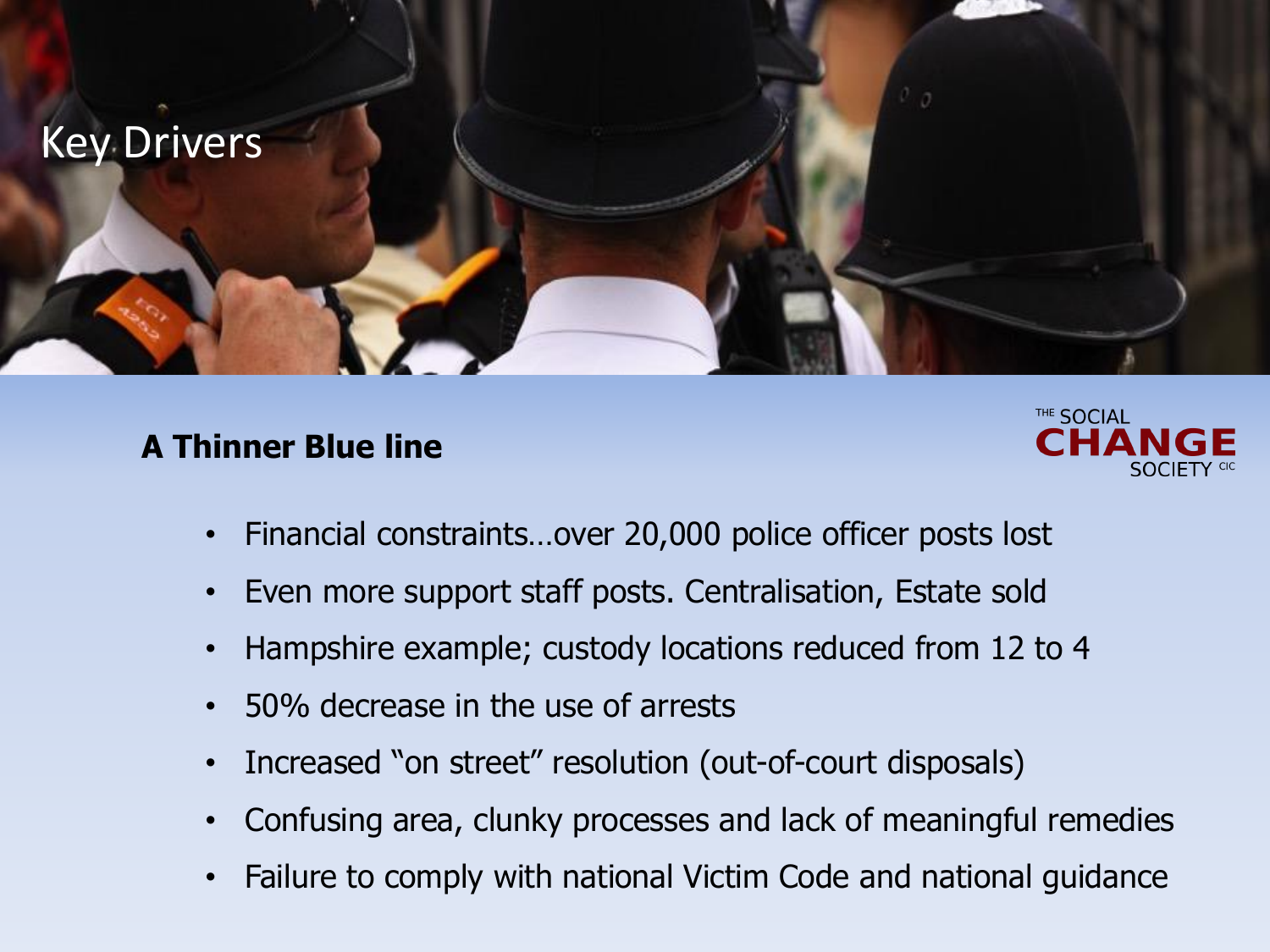

### **A Thinner Blue line**



- Financial constraints…over 20,000 police officer posts lost
- Even more support staff posts. Centralisation, Estate sold
- Hampshire example; custody locations reduced from 12 to 4
- 50% decrease in the use of arrests
- Increased "on street" resolution (out-of-court disposals)
- Confusing area, clunky processes and lack of meaningful remedies
- Failure to comply with national Victim Code and national guidance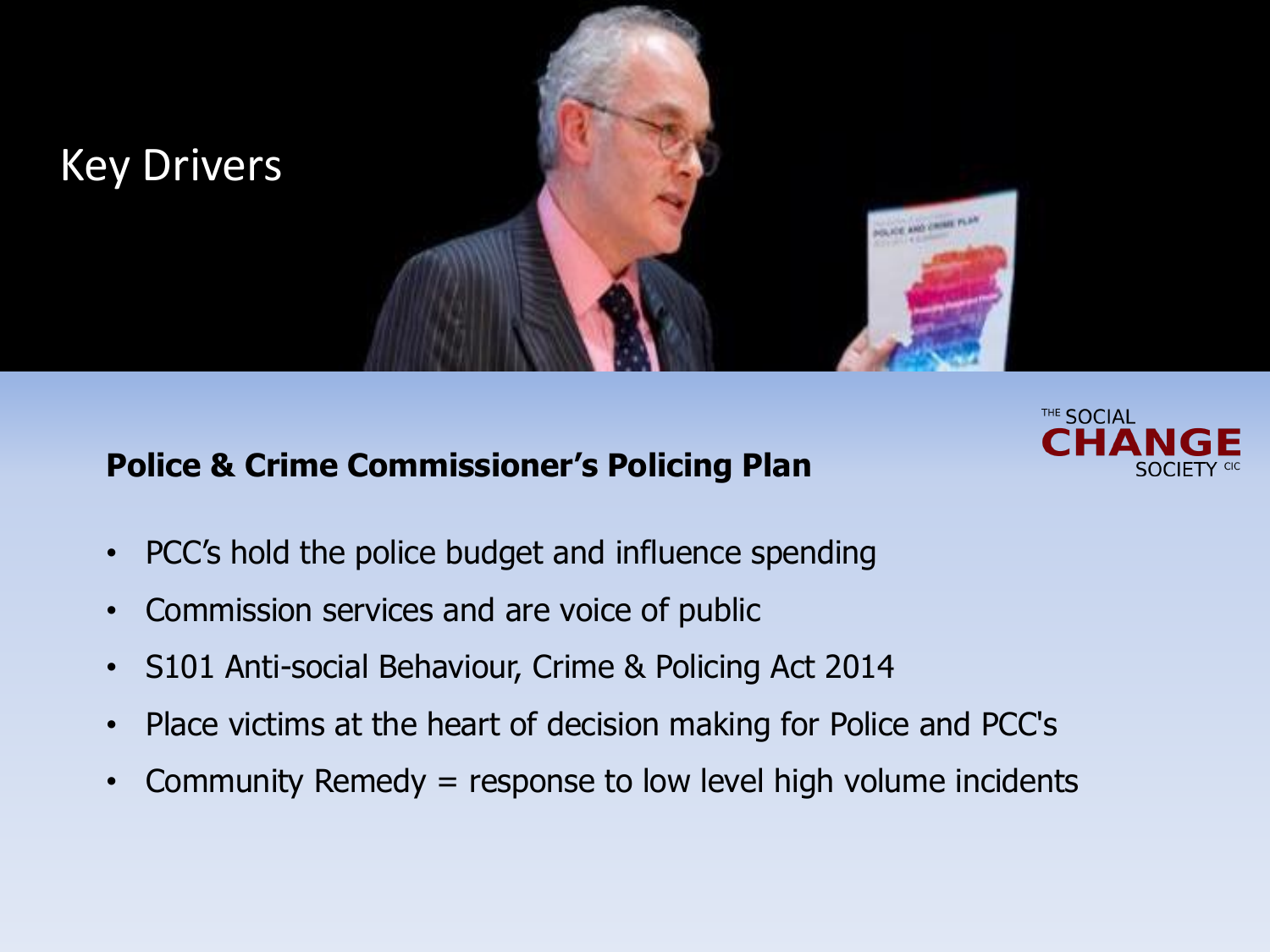

## **Police & Crime Commissioner's Policing Plan**



- PCC's hold the police budget and influence spending
- Commission services and are voice of public
- S101 Anti-social Behaviour, Crime & Policing Act 2014
- Place victims at the heart of decision making for Police and PCC's
- Community Remedy = response to low level high volume incidents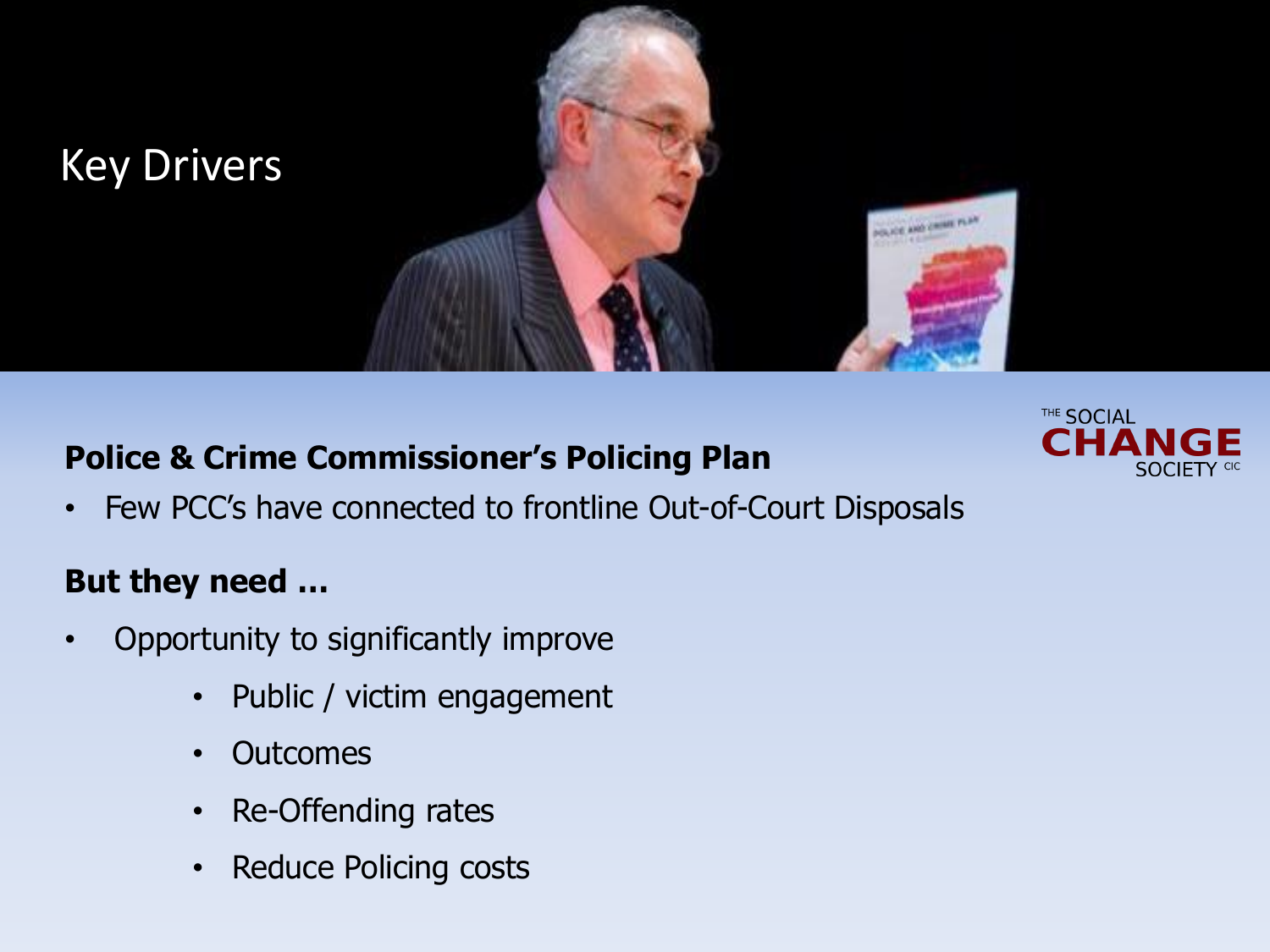

## **Police & Crime Commissioner's Policing Plan**



• Few PCC's have connected to frontline Out-of-Court Disposals

## **But they need …**

- Opportunity to significantly improve
	- Public / victim engagement
	- Outcomes
	- Re-Offending rates
	- Reduce Policing costs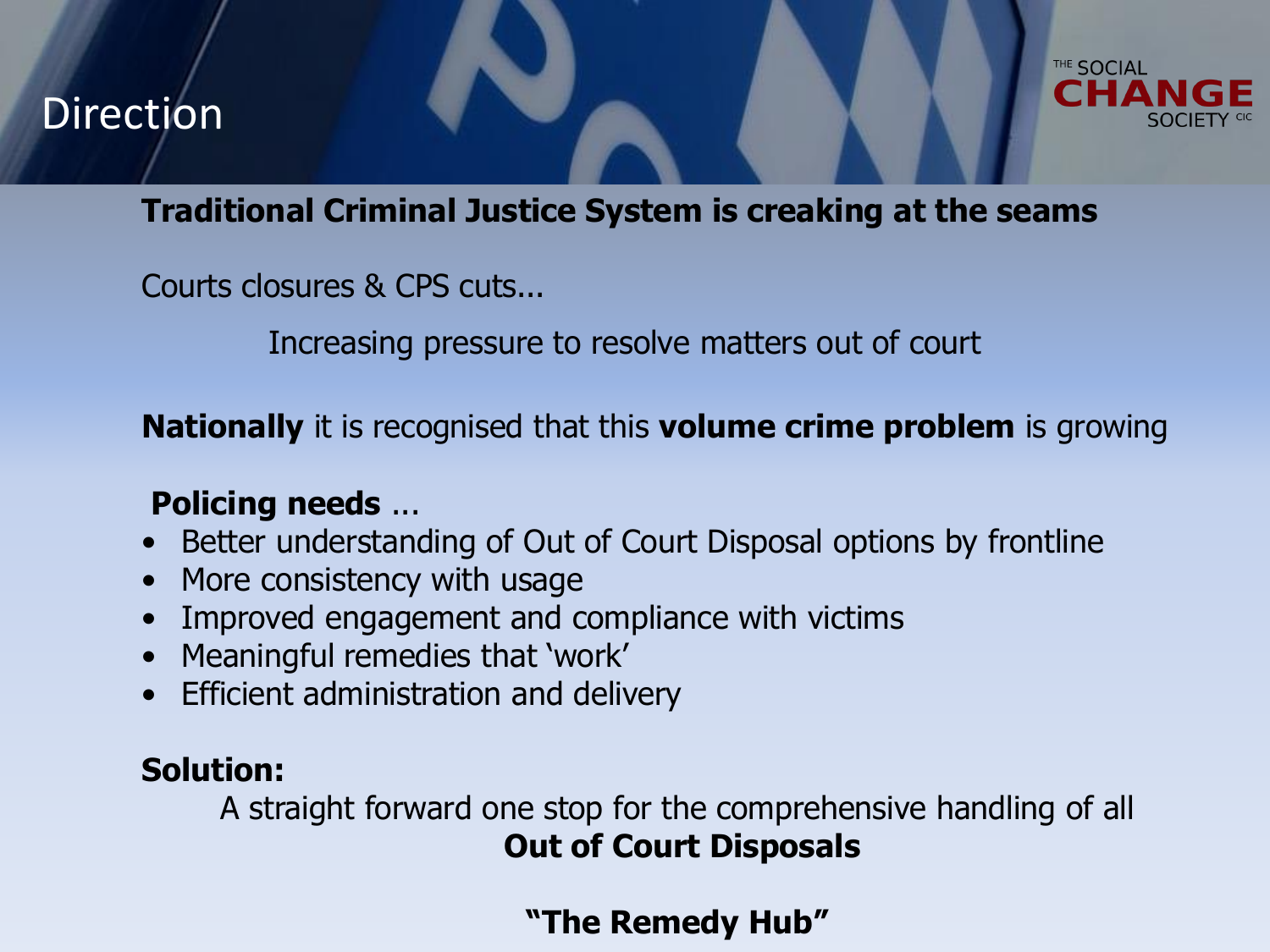## Direction



### **Traditional Criminal Justice System is creaking at the seams**

Courts closures & CPS cuts...

Increasing pressure to resolve matters out of court

**Nationally** it is recognised that this **volume crime problem** is growing

## **Policing needs** ...

- Better understanding of Out of Court Disposal options by frontline
- More consistency with usage
- Improved engagement and compliance with victims
- Meaningful remedies that 'work'
- Efficient administration and delivery

### **Solution:**

A straight forward one stop for the comprehensive handling of all **Out of Court Disposals**

**"The Remedy Hub"**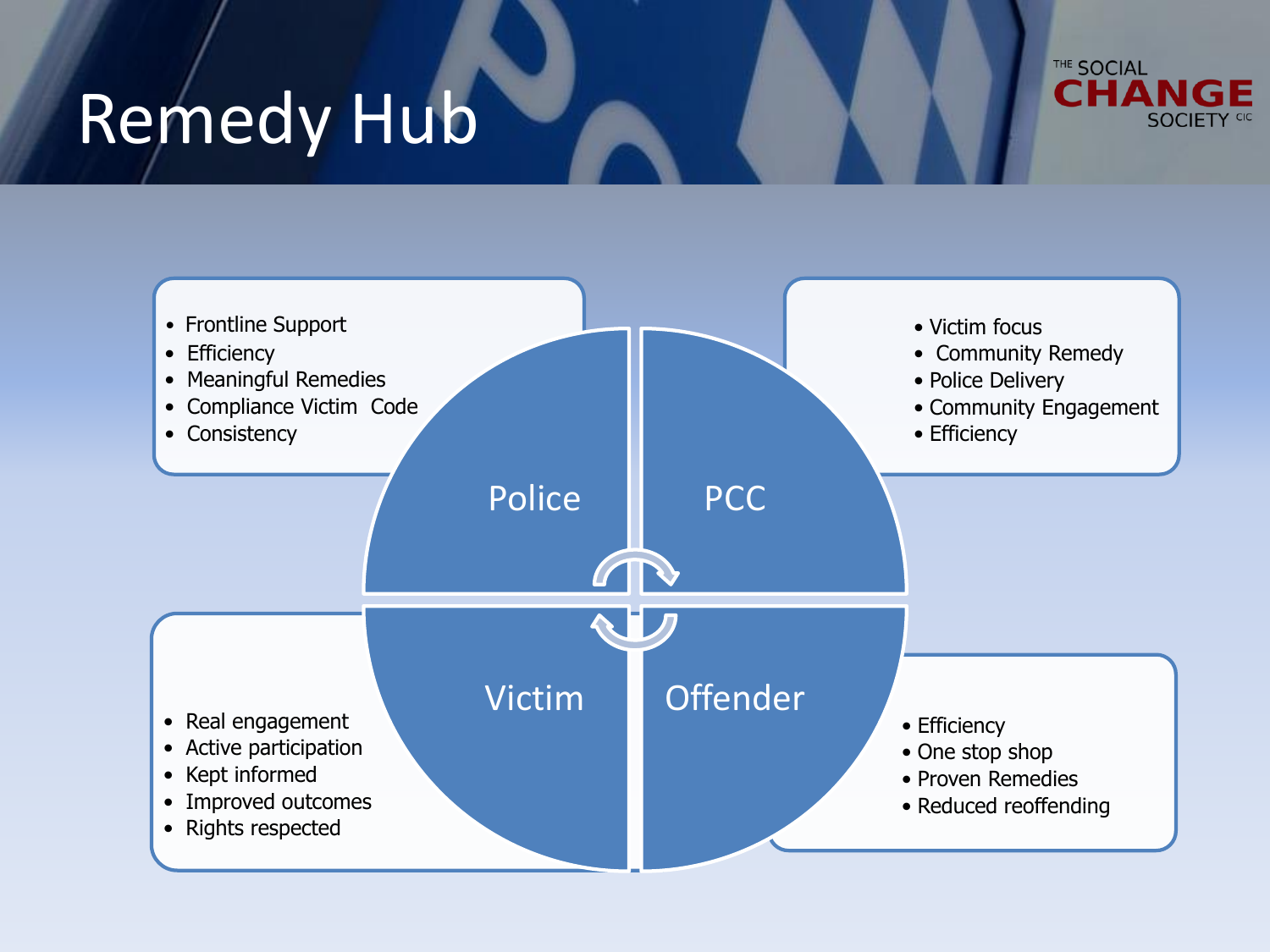# Remedy Hub



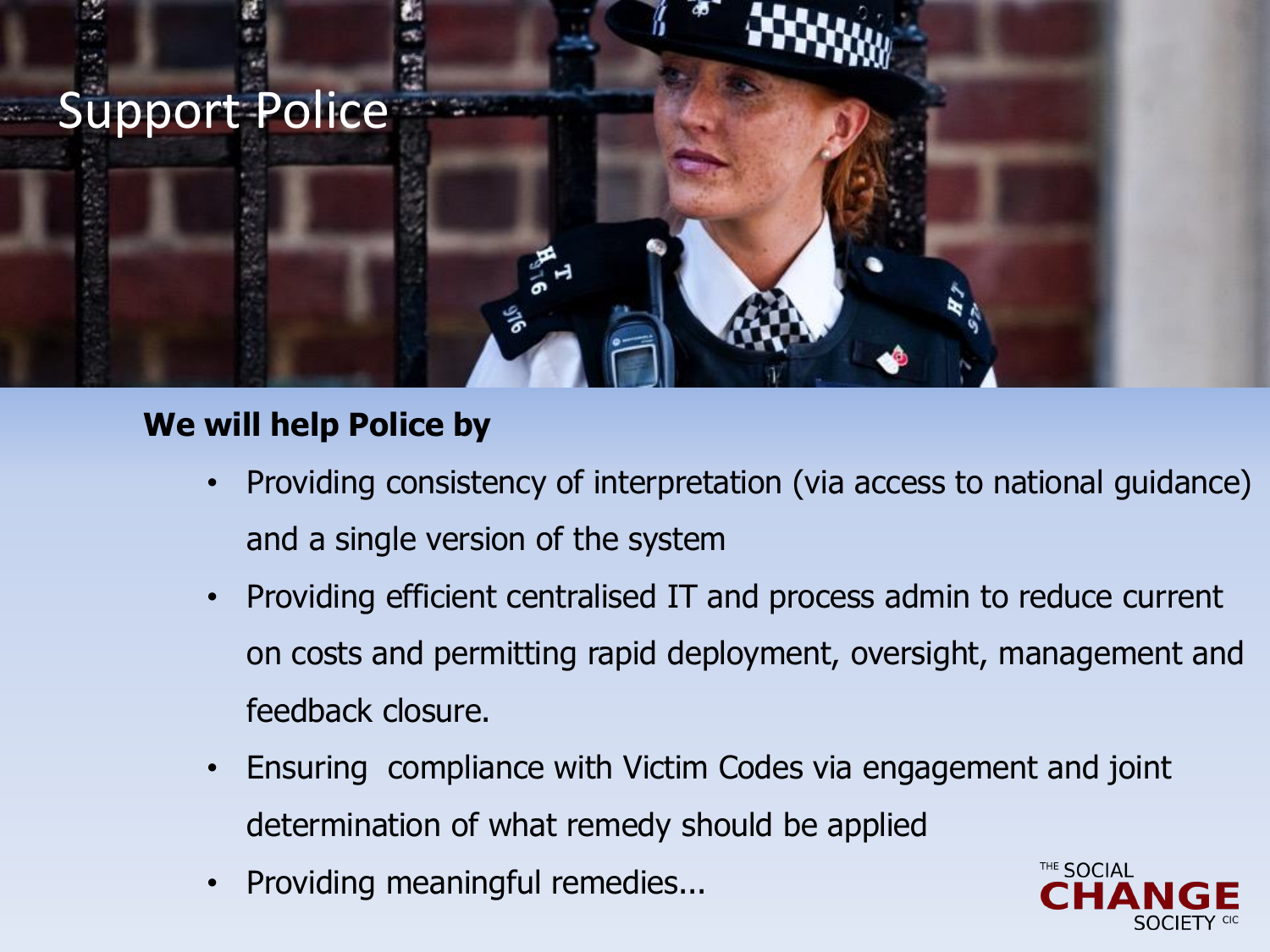## Support Police

## **We will help Police by**

- Providing consistency of interpretation (via access to national guidance) and a single version of the system
- Providing efficient centralised IT and process admin to reduce current on costs and permitting rapid deployment, oversight, management and feedback closure.
- Ensuring compliance with Victim Codes via engagement and joint determination of what remedy should be applied
- Providing meaningful remedies...

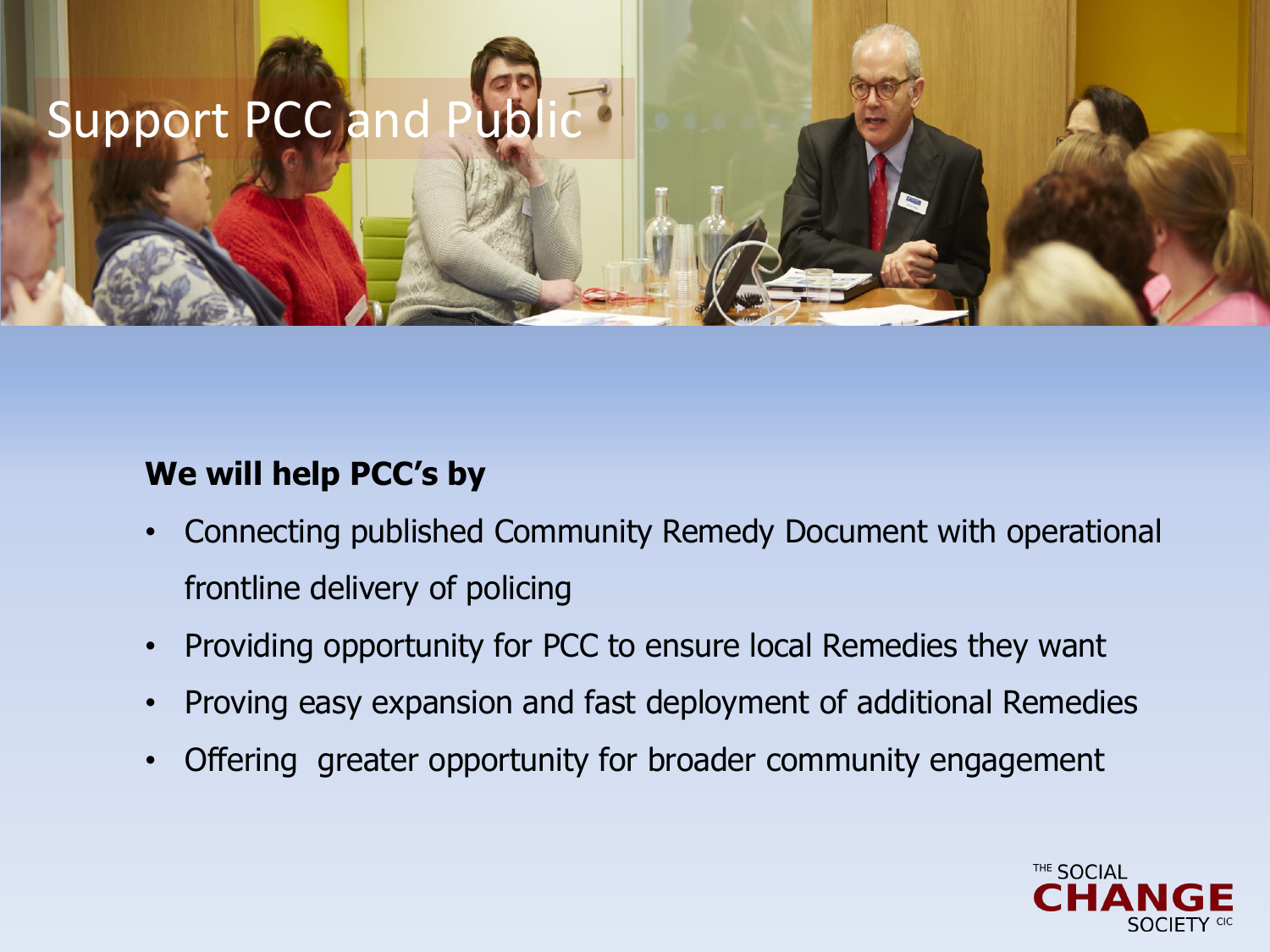## Support PCC and Pub

### **We will help PCC's by**

- Connecting published Community Remedy Document with operational frontline delivery of policing
- Providing opportunity for PCC to ensure local Remedies they want
- Proving easy expansion and fast deployment of additional Remedies
- Offering greater opportunity for broader community engagement

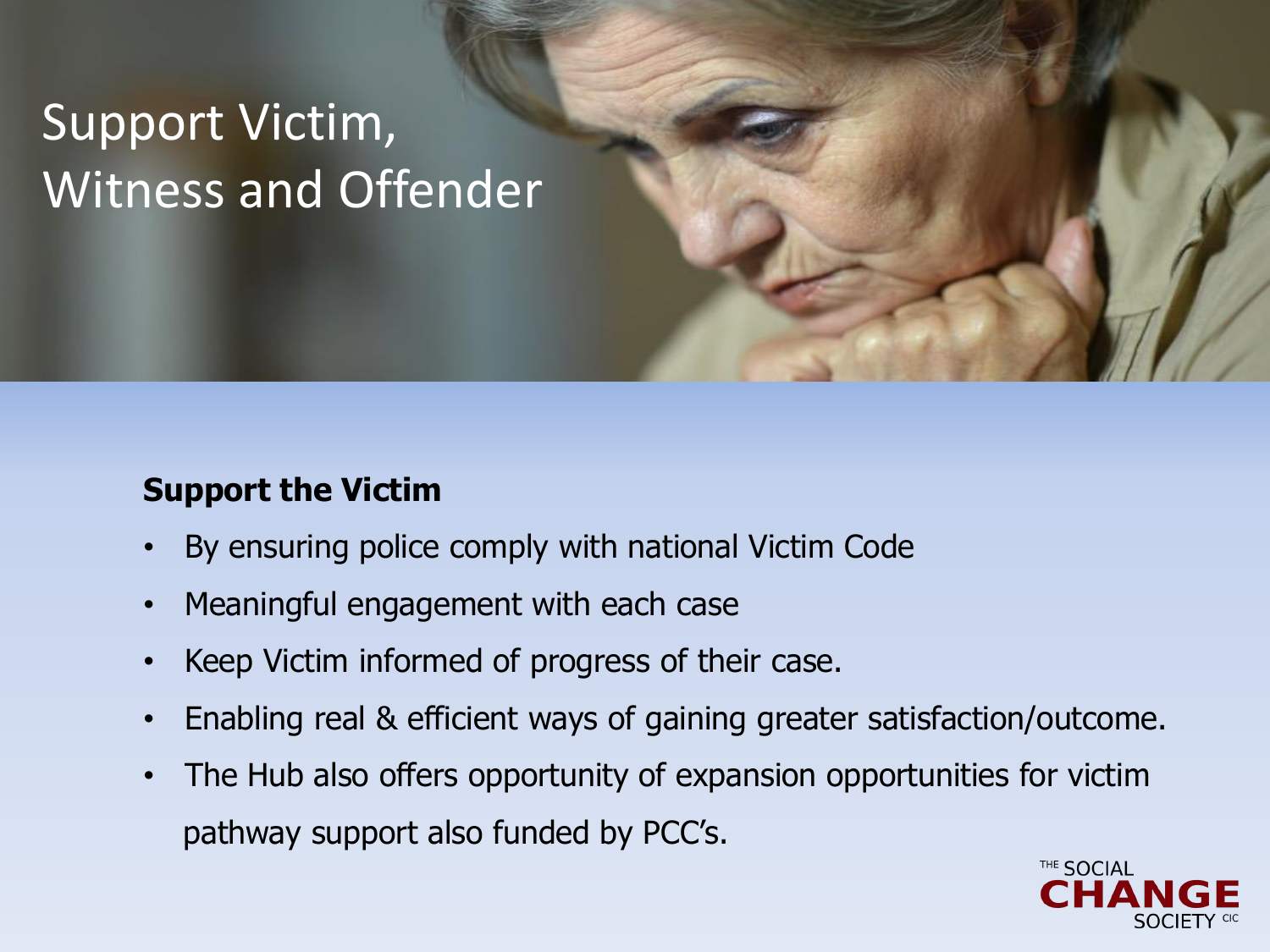## Support Victim, Witness and Offender

## **Support the Victim**

- By ensuring police comply with national Victim Code
- Meaningful engagement with each case
- Keep Victim informed of progress of their case.
- Enabling real & efficient ways of gaining greater satisfaction/outcome.
- The Hub also offers opportunity of expansion opportunities for victim pathway support also funded by PCC's.

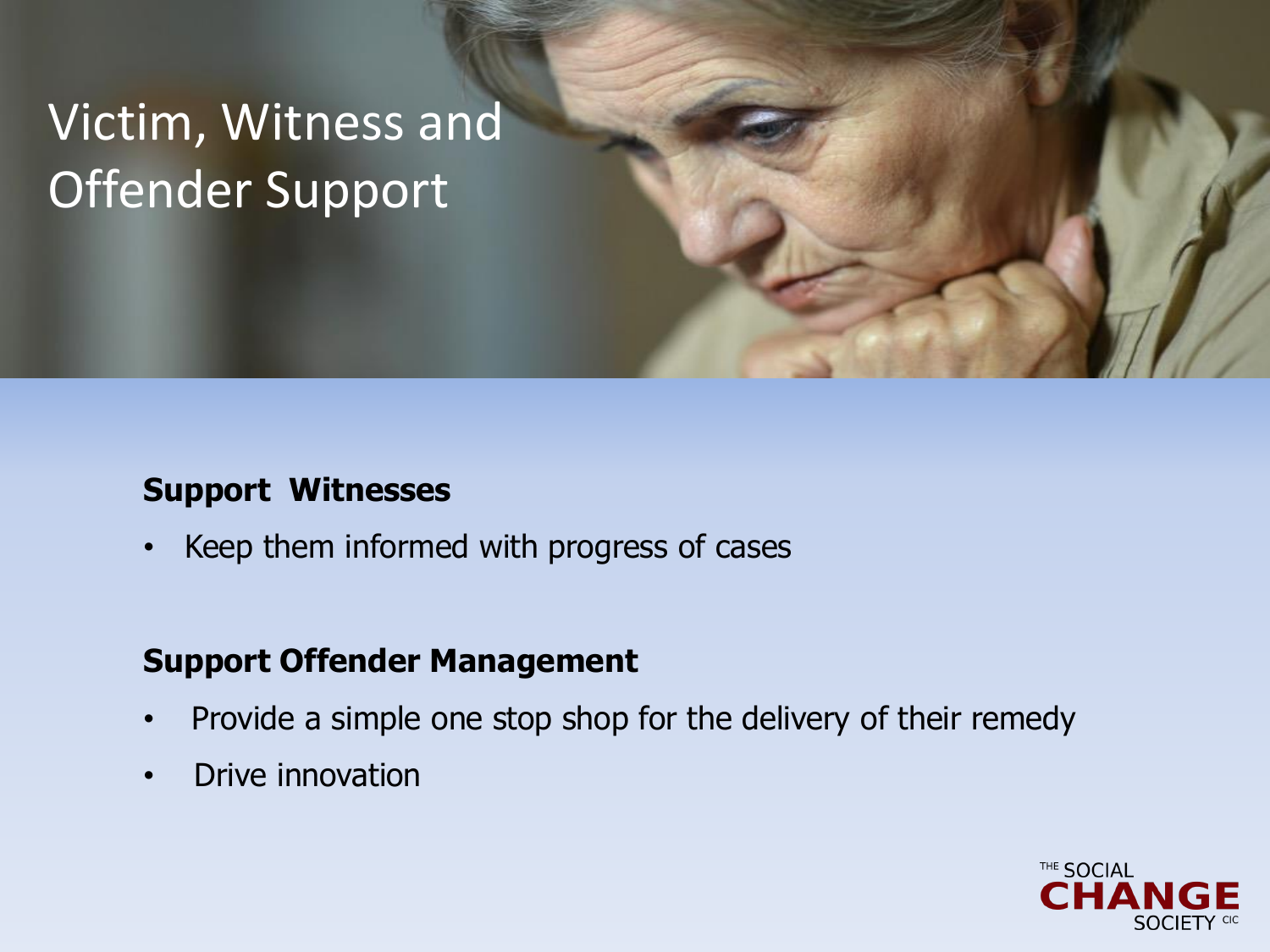## Victim, Witness and Offender Support

### **Support Witnesses**

• Keep them informed with progress of cases

### **Support Offender Management**

- Provide a simple one stop shop for the delivery of their remedy
- Drive innovation

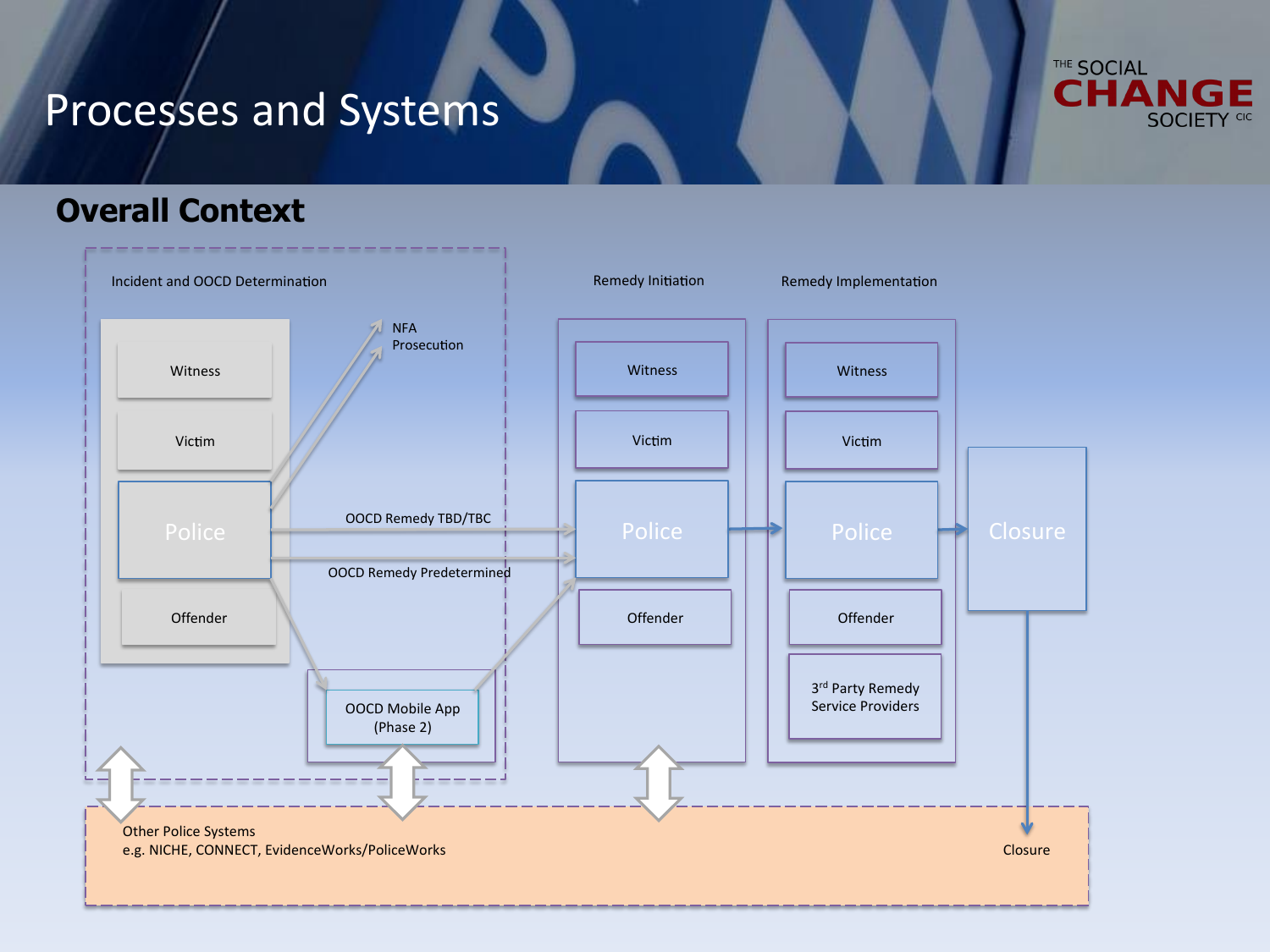## Processes and Systems



### **Overall Context**

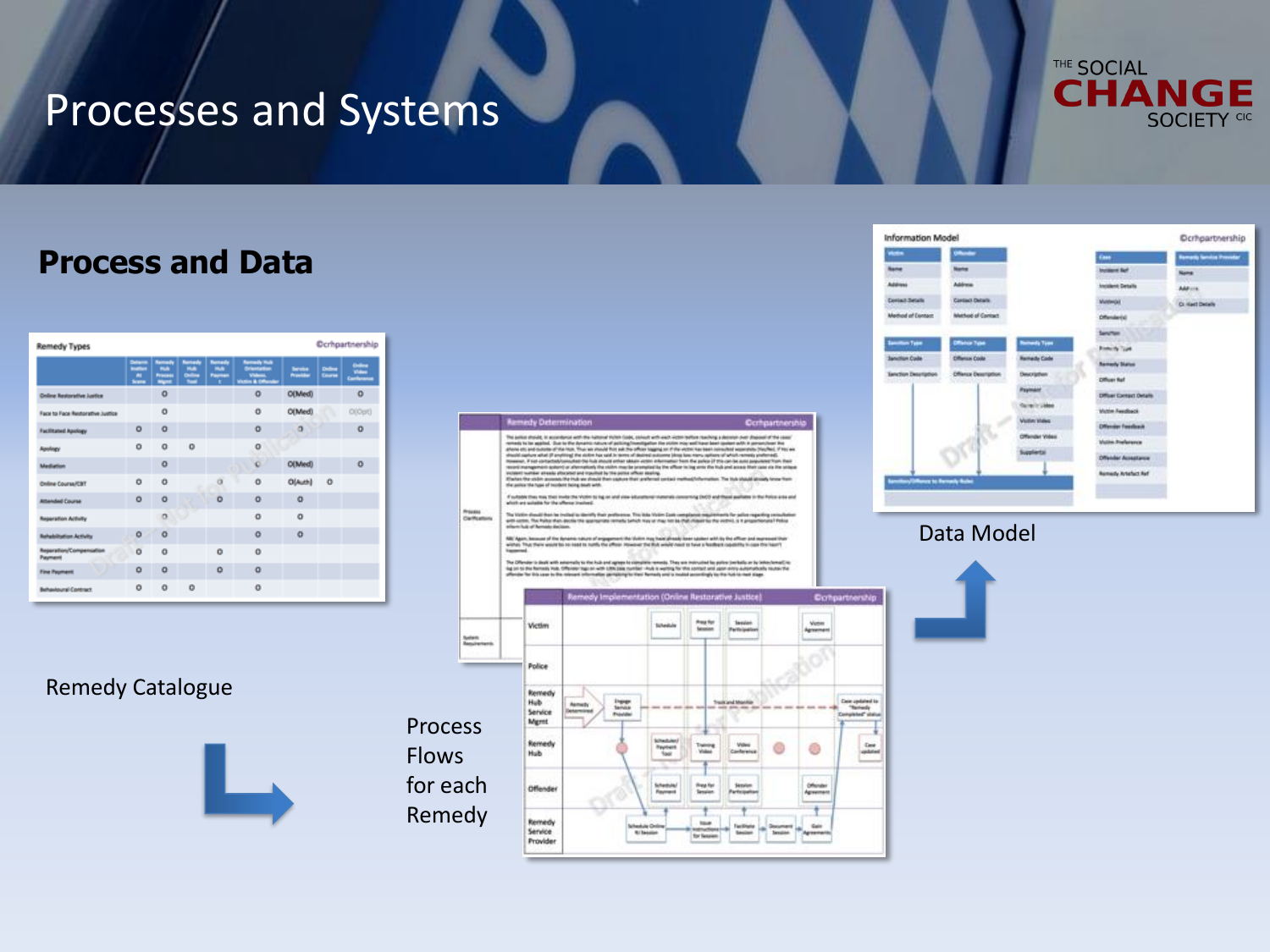## Processes and Systems

#### THE SOCIAL **CHANGE SOCIETY CIC**

### **Process and Data**

| <b>Ocrhpartnership</b><br><b>Remedy Types</b> |                                                      |                                                                    |                                                 |                                                |                                                                          |                            |                           |         |
|-----------------------------------------------|------------------------------------------------------|--------------------------------------------------------------------|-------------------------------------------------|------------------------------------------------|--------------------------------------------------------------------------|----------------------------|---------------------------|---------|
|                                               | Details<br><b>Institute</b><br>$\mathbf{a}$<br>Scans | <b><i><u>Springfy</u></i></b><br>make<br>Process<br><b>Married</b> | <b>Barnado</b><br>make<br>Online<br><b>Tour</b> | <b>Semade</b><br><b>Hule</b><br><b>Payment</b> | <b>Remedy Hutch</b><br><b>Orientation</b><br>Videos,<br>Vidim & Offender | <b>Service</b><br>Provider | <b>Children</b><br>Course | ÷.      |
| <b>Cedare Restorative Justice</b>             |                                                      | $\Omega$                                                           |                                                 |                                                | $\circ$                                                                  | O(Med)                     |                           | $\circ$ |
| Face to Face Restorative Justice              |                                                      | o                                                                  |                                                 |                                                | $\circ$                                                                  | O(Med)                     |                           | O(Opt)  |
| <b>Facilitated Apology</b>                    | ۰                                                    | $\circ$                                                            |                                                 |                                                | $\ddot{\mathbf{O}}$                                                      | $\circ$                    |                           | o       |
| Apology                                       | $\circ$                                              | $\Omega$                                                           | $\circ$                                         |                                                | ۰                                                                        |                            |                           |         |
| <b>Madiation</b>                              |                                                      | $\Omega$                                                           |                                                 |                                                | o                                                                        | O(Med)                     |                           | o       |
| <b>Online Course/CBT</b>                      | ō                                                    | o                                                                  |                                                 | $\alpha$                                       | $\alpha$                                                                 | O(Auth)                    | $\circ$                   |         |
| Attended Course                               | ۰                                                    | o                                                                  |                                                 | ö                                              | $\ddot{\mathbf{O}}$                                                      | o                          |                           |         |
| Reported Artisty                              |                                                      | o                                                                  |                                                 |                                                | ٥                                                                        | ۰                          |                           |         |
| <b>Rehabilisation Activity</b>                | a                                                    | $\Omega$                                                           |                                                 |                                                | $\Omega$                                                                 | $\Omega$                   |                           |         |
| Report Ford Compensation<br>Payment           | ō                                                    | $\circ$                                                            |                                                 | ō                                              | $\circ$                                                                  |                            |                           |         |
| <b>Fine Payment</b>                           | $\circ$                                              | $\Omega$                                                           |                                                 | $\circ$                                        | $\circ$                                                                  |                            |                           |         |
| Behavioural Contract                          | o                                                    | $\circ$                                                            | o                                               |                                                | $\circ$                                                                  |                            |                           |         |

#### Remedy Catalogue







#### Data Model

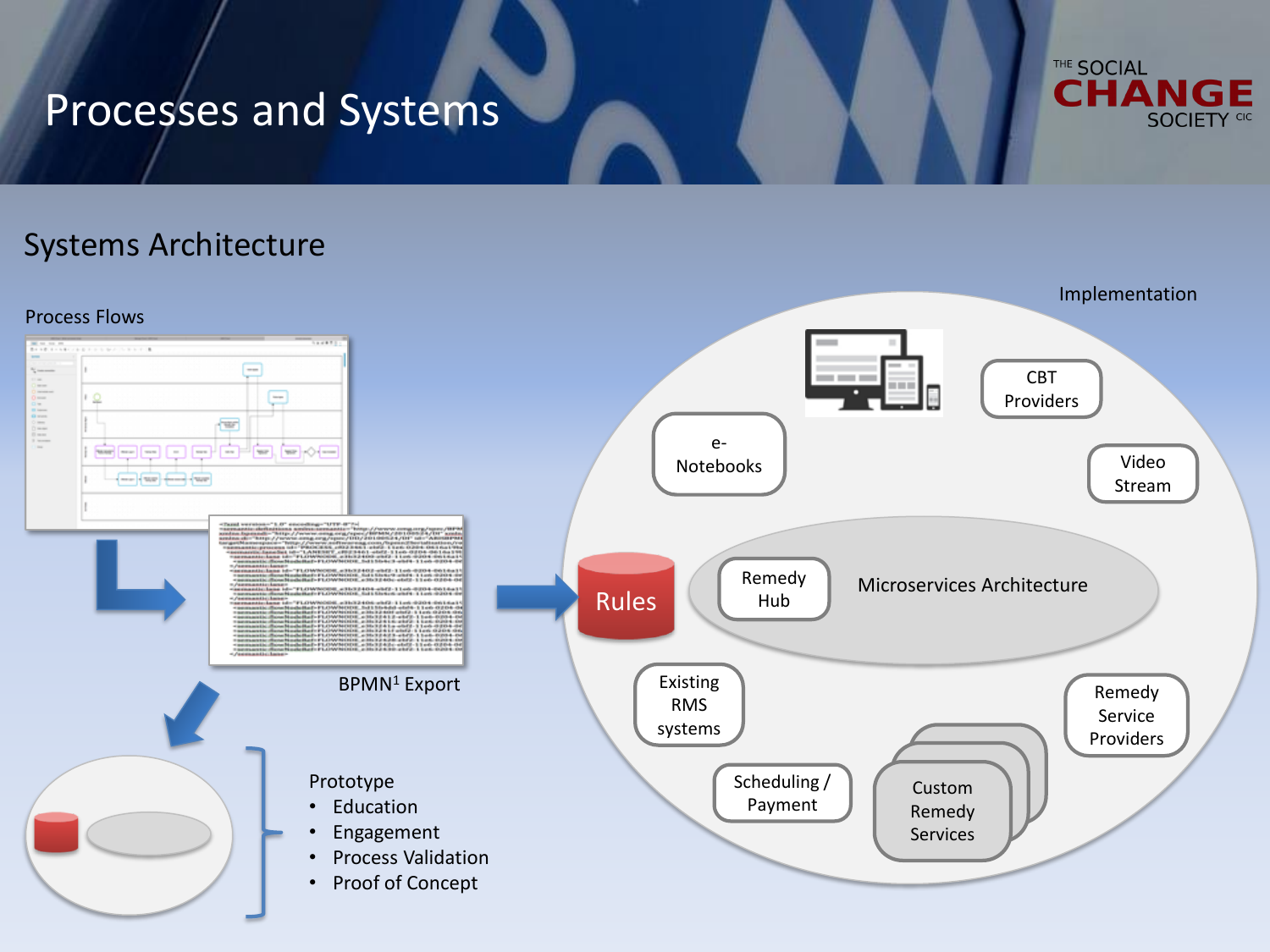## Processes and Systems



## Systems Architecture

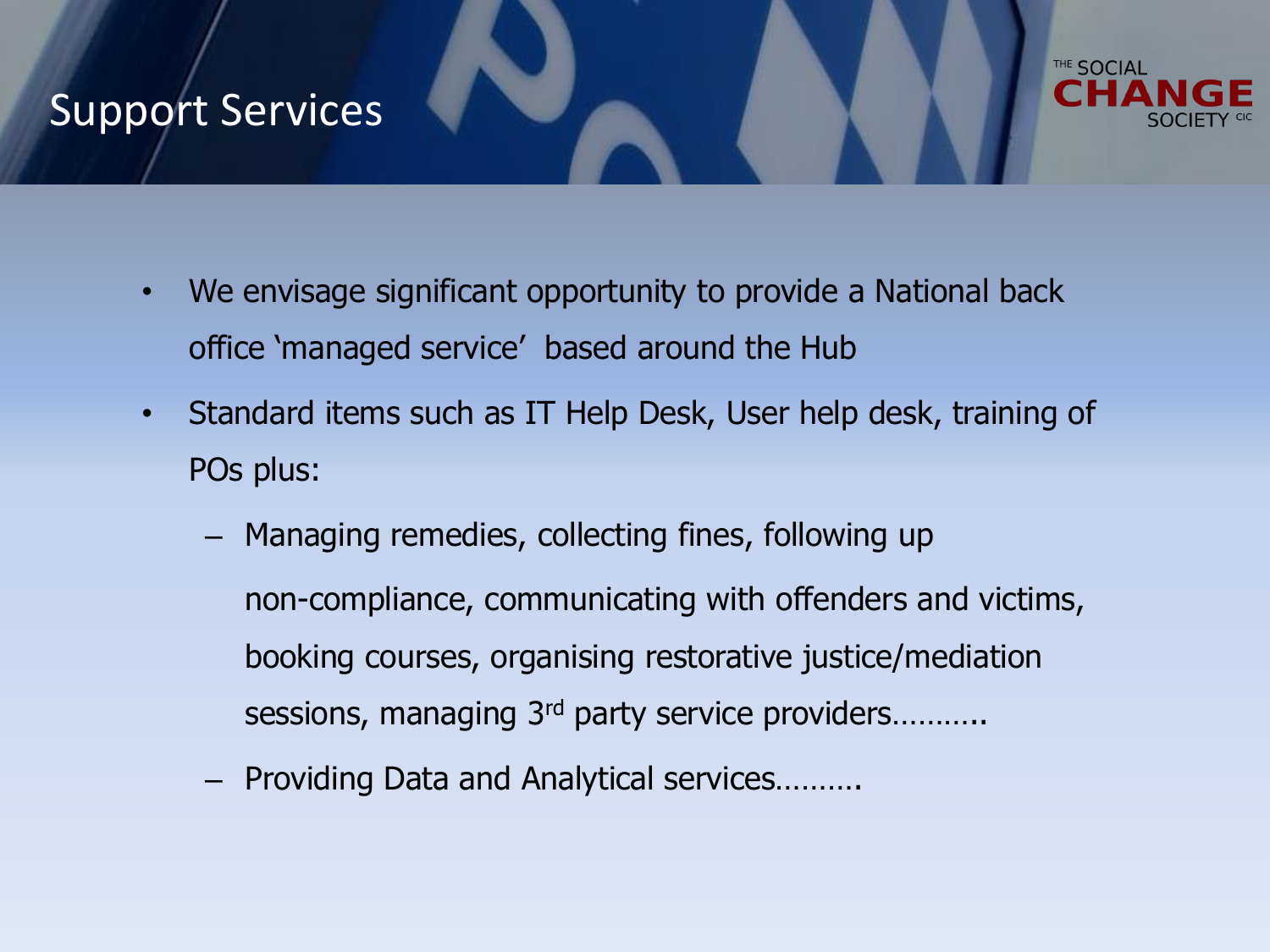## Support Services



- We envisage significant opportunity to provide a National back office 'managed service' based around the Hub
- Standard items such as IT Help Desk, User help desk, training of POs plus:
	- Managing remedies, collecting fines, following up non-compliance, communicating with offenders and victims, booking courses, organising restorative justice/mediation sessions, managing 3<sup>rd</sup> party service providers……….
	- Providing Data and Analytical services……….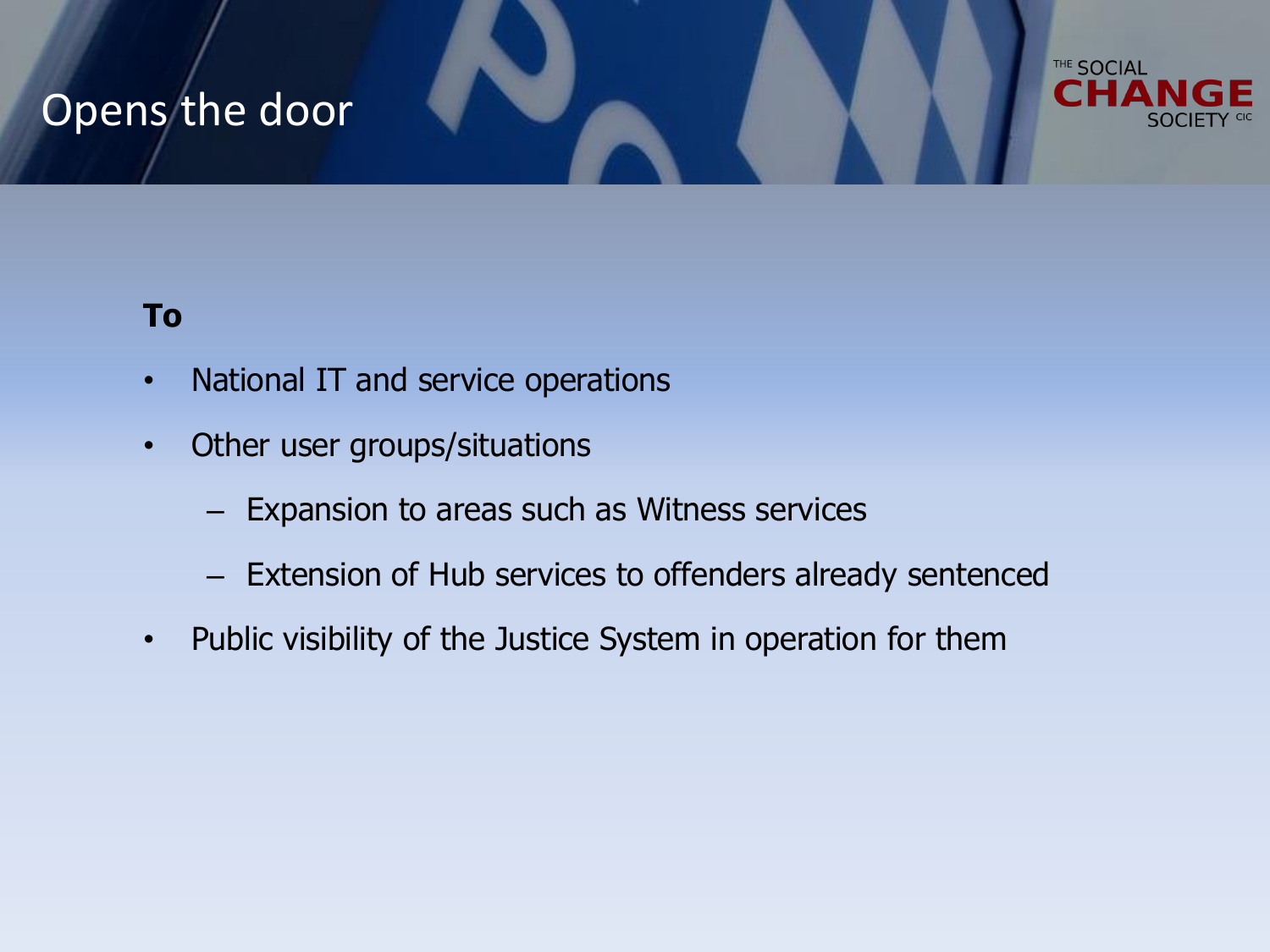## Opens the door



### **To**

- National IT and service operations
- Other user groups/situations
	- Expansion to areas such as Witness services
	- Extension of Hub services to offenders already sentenced
- Public visibility of the Justice System in operation for them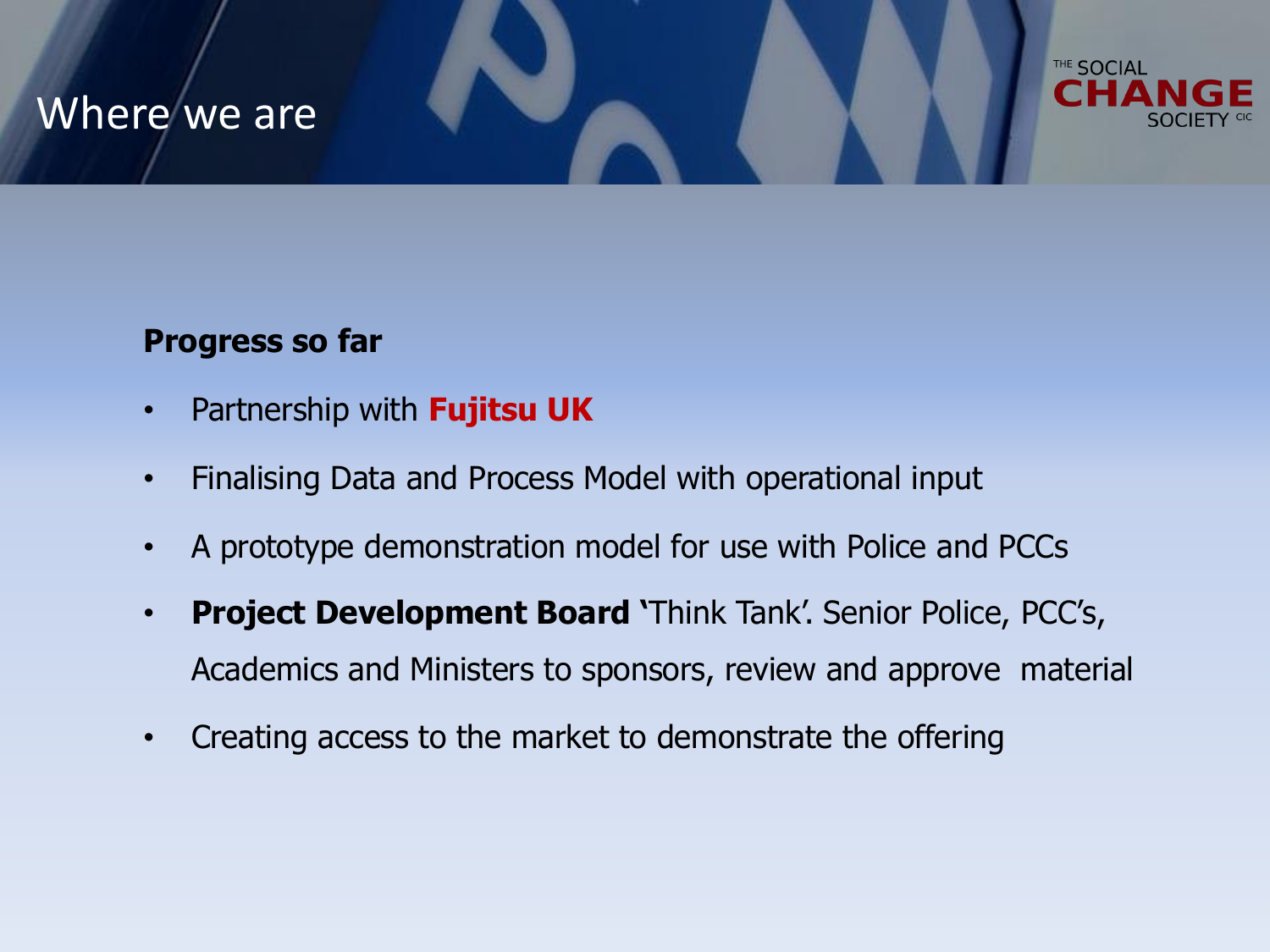## Where we are



### **Progress so far**

- Partnership with **Fujitsu UK**
- Finalising Data and Process Model with operational input
- A prototype demonstration model for use with Police and PCCs
- **Project Development Board '**Think Tank'. Senior Police, PCC's, Academics and Ministers to sponsors, review and approve material
- Creating access to the market to demonstrate the offering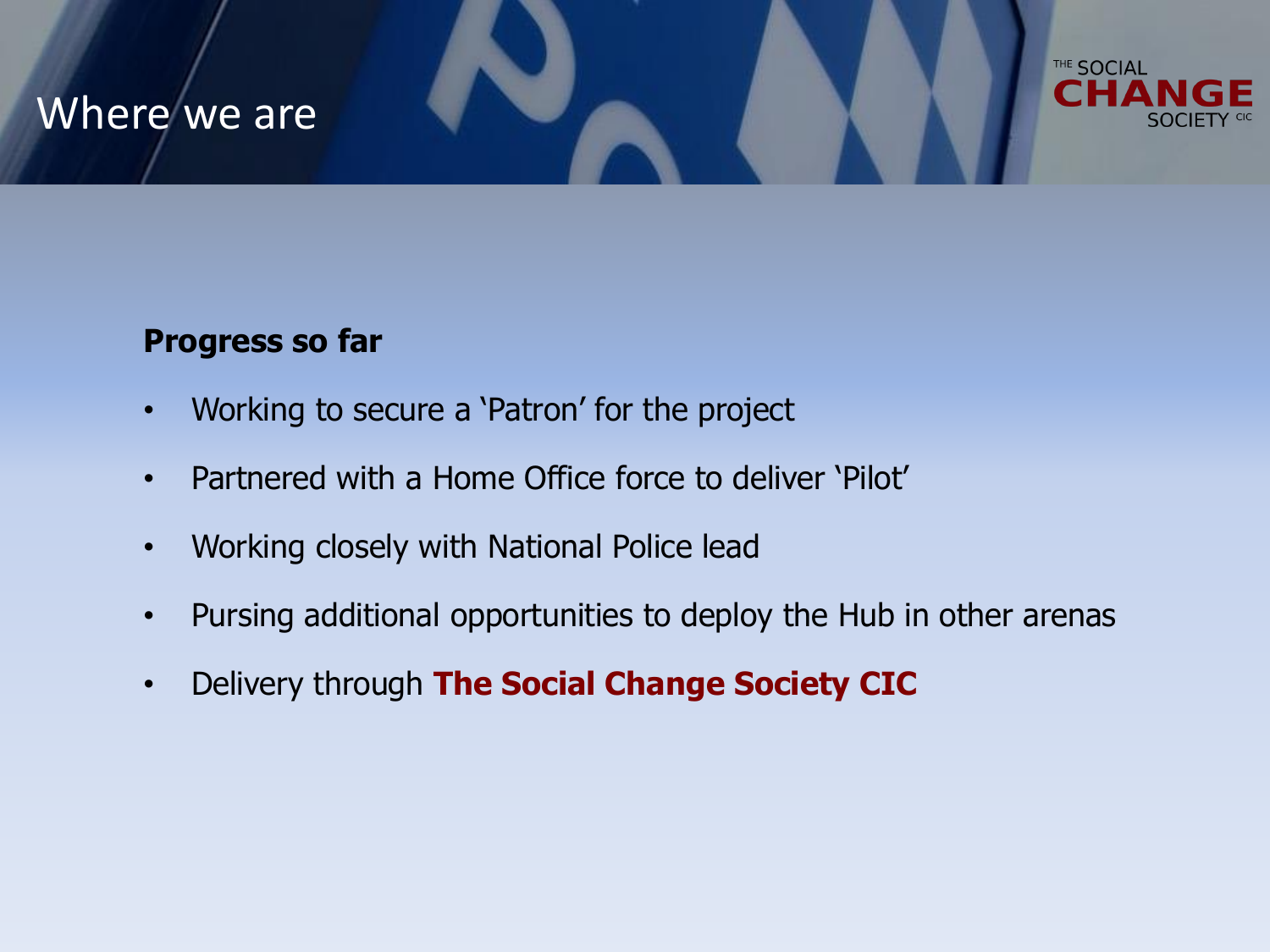## Where we are



### **Progress so far**

- Working to secure a 'Patron' for the project
- Partnered with a Home Office force to deliver 'Pilot'
- Working closely with National Police lead
- Pursing additional opportunities to deploy the Hub in other arenas
- Delivery through **The Social Change Society CIC**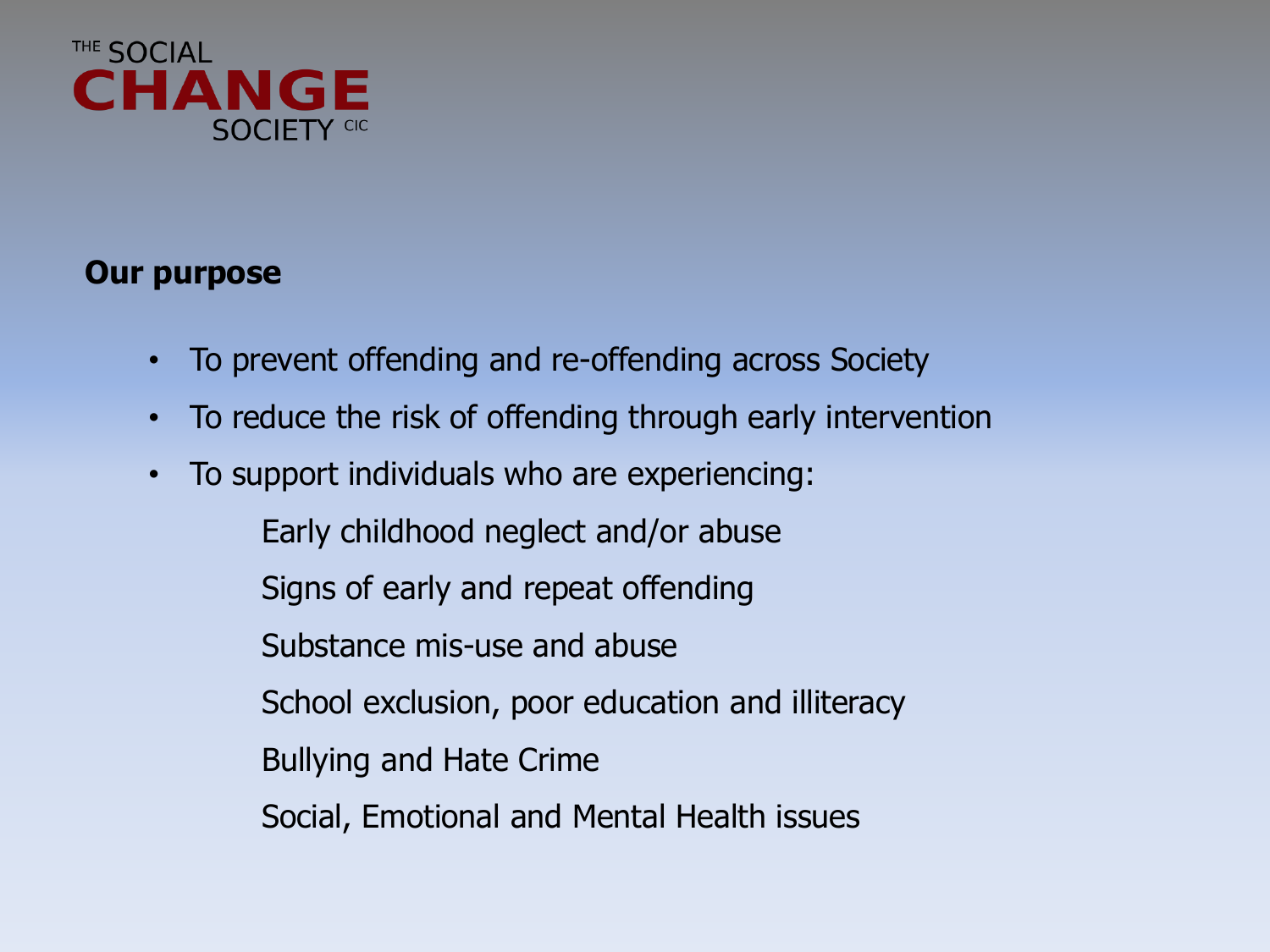

### **Our purpose**

- To prevent offending and re-offending across Society
- To reduce the risk of offending through early intervention
- To support individuals who are experiencing:
	- Early childhood neglect and/or abuse
	- Signs of early and repeat offending
	- Substance mis-use and abuse
	- School exclusion, poor education and illiteracy
	- Bullying and Hate Crime
	- Social, Emotional and Mental Health issues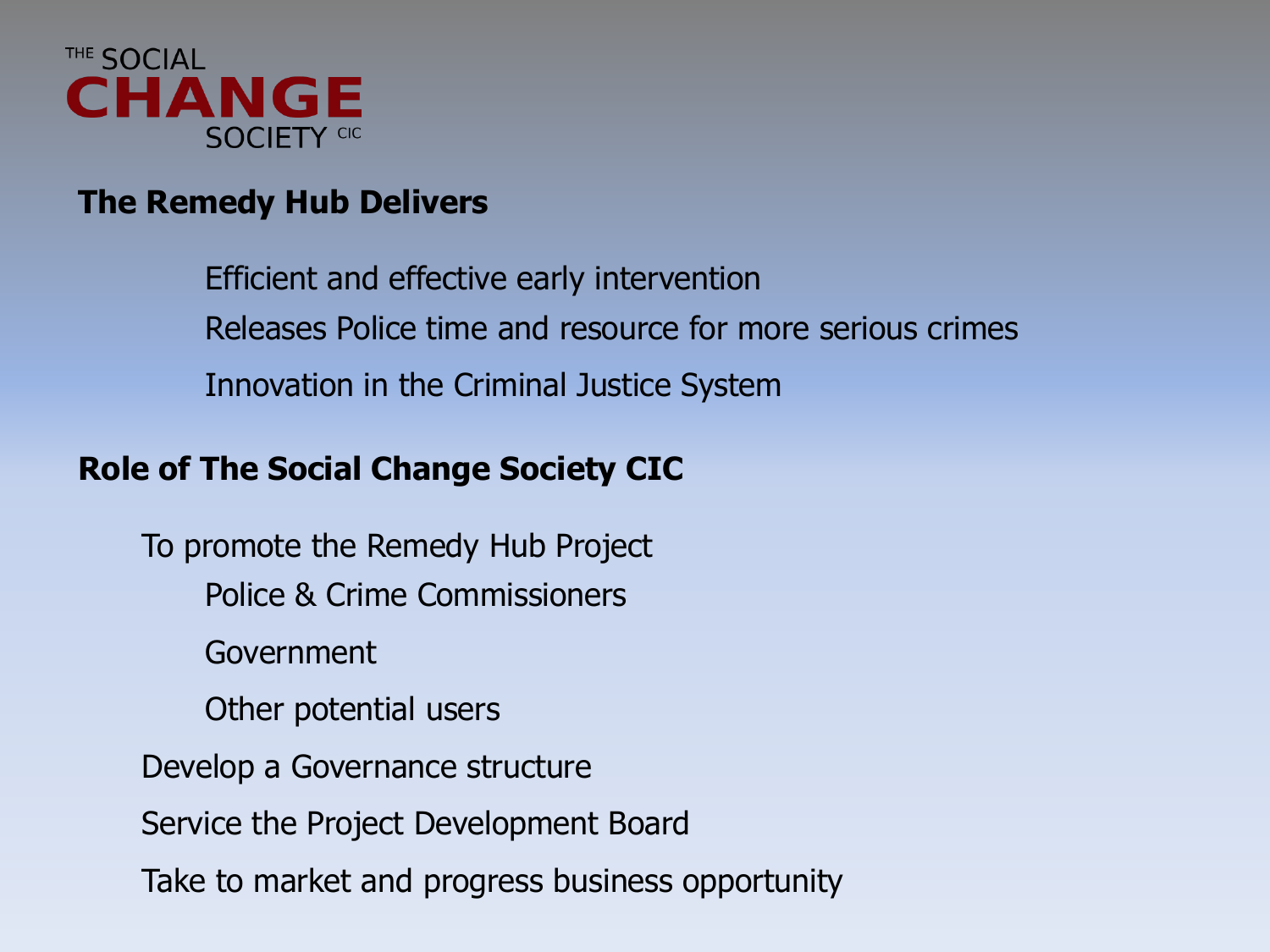

## **The Remedy Hub Delivers**

Efficient and effective early intervention Releases Police time and resource for more serious crimes Innovation in the Criminal Justice System

### **Role of The Social Change Society CIC**

To promote the Remedy Hub Project Police & Crime Commissioners Government Other potential users Develop a Governance structure Service the Project Development Board Take to market and progress business opportunity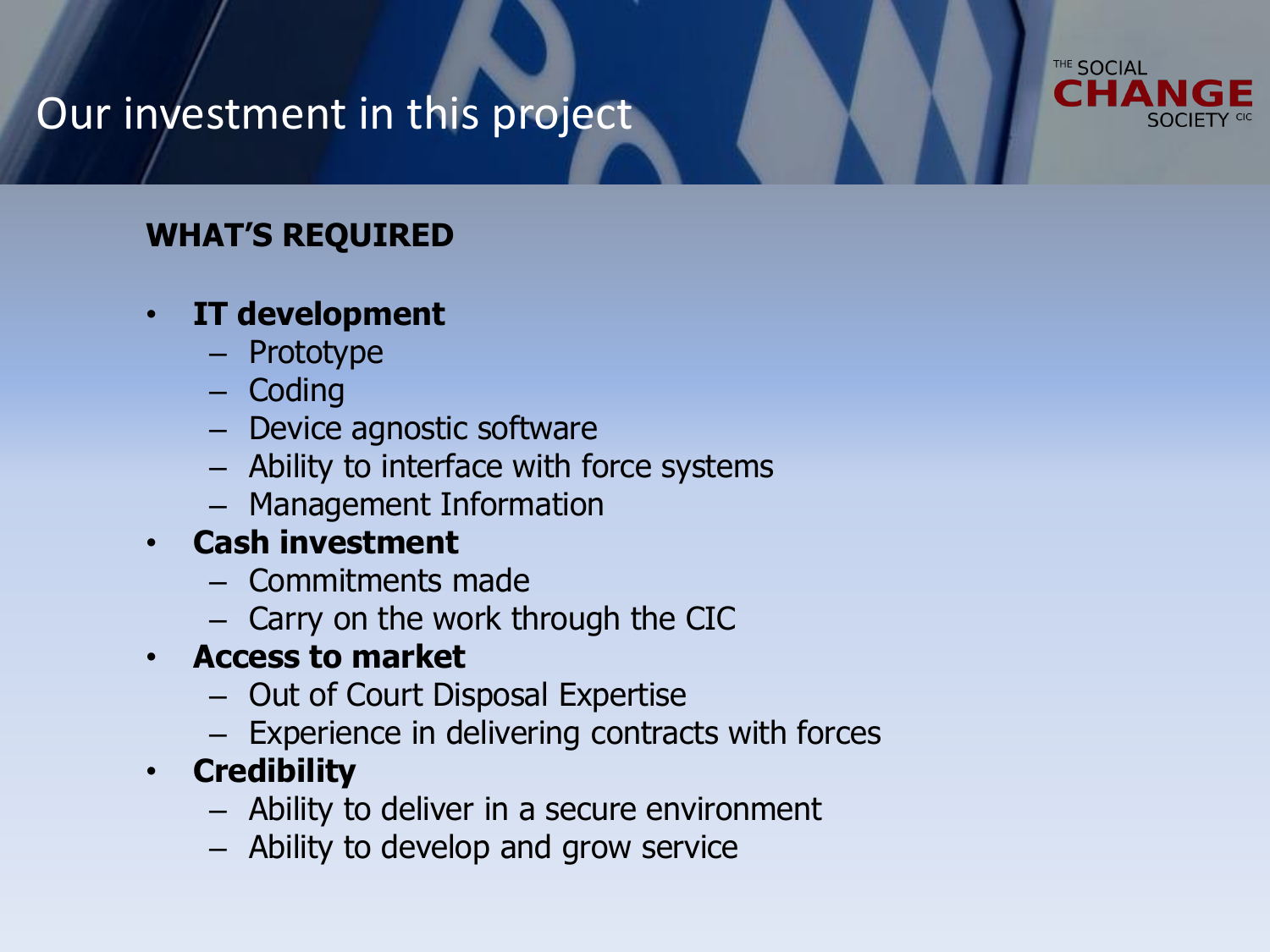# THE SOCIAL

## Our investment in this project

## **WHAT'S REQUIRED**

## • **IT development**

- Prototype
- Coding
- Device agnostic software
- Ability to interface with force systems
- Management Information

## • **Cash investment**

- Commitments made
- Carry on the work through the CIC
- **Access to market**
	- Out of Court Disposal Expertise
	- Experience in delivering contracts with forces
- **Credibility**
	- Ability to deliver in a secure environment
	- Ability to develop and grow service